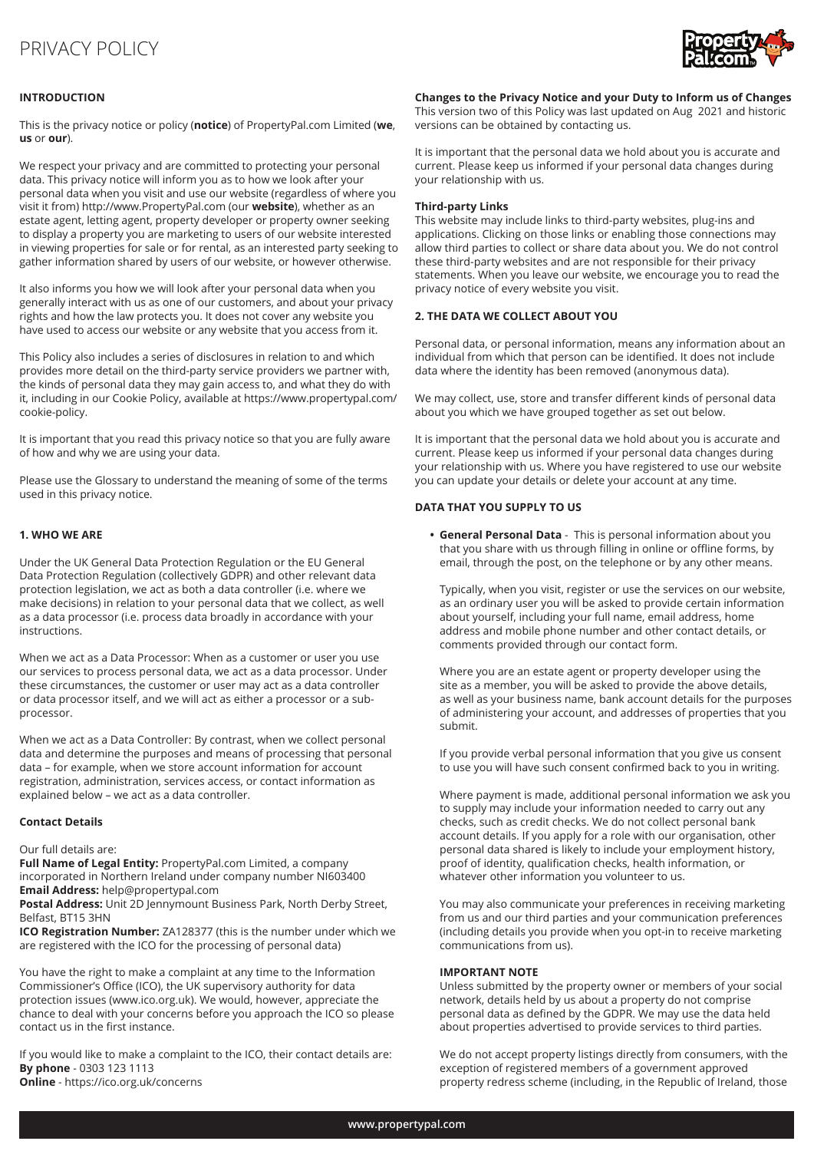

This is the privacy notice or policy (**notice**) of PropertyPal.com Limited (**we**, **us** or **our**).

We respect your privacy and are committed to protecting your personal data. This privacy notice will inform you as to how we look after your personal data when you visit and use our website (regardless of where you visit it from) http://www.PropertyPal.com (our **website**), whether as an estate agent, letting agent, property developer or property owner seeking to display a property you are marketing to users of our website interested in viewing properties for sale or for rental, as an interested party seeking to gather information shared by users of our website, or however otherwise.

It also informs you how we will look after your personal data when you generally interact with us as one of our customers, and about your privacy rights and how the law protects you. It does not cover any website you have used to access our website or any website that you access from it.

This Policy also includes a series of disclosures in relation to and which provides more detail on the third-party service providers we partner with, the kinds of personal data they may gain access to, and what they do with it, including in our Cookie Policy, available at https://www.propertypal.com/ cookie-policy.

It is important that you read this privacy notice so that you are fully aware of how and why we are using your data.

Please use the Glossary to understand the meaning of some of the terms used in this privacy notice.

# **1. WHO WE ARE**

Under the UK General Data Protection Regulation or the EU General Data Protection Regulation (collectively GDPR) and other relevant data protection legislation, we act as both a data controller (i.e. where we make decisions) in relation to your personal data that we collect, as well as a data processor (i.e. process data broadly in accordance with your instructions.

When we act as a Data Processor: When as a customer or user you use our services to process personal data, we act as a data processor. Under these circumstances, the customer or user may act as a data controller or data processor itself, and we will act as either a processor or a subprocessor.

When we act as a Data Controller: By contrast, when we collect personal data and determine the purposes and means of processing that personal data – for example, when we store account information for account registration, administration, services access, or contact information as explained below – we act as a data controller.

#### **Contact Details**

#### Our full details are:

**Full Name of Legal Entity:** PropertyPal.com Limited, a company incorporated in Northern Ireland under company number NI603400 **Email Address:** help@propertypal.com

**Postal Address:** Unit 2D Jennymount Business Park, North Derby Street, Belfast, BT15 3HN

**ICO Registration Number:** ZA128377 (this is the number under which we are registered with the ICO for the processing of personal data)

You have the right to make a complaint at any time to the Information Commissioner's Office (ICO), the UK supervisory authority for data protection issues (www.ico.org.uk). We would, however, appreciate the chance to deal with your concerns before you approach the ICO so please contact us in the first instance.

If you would like to make a complaint to the ICO, their contact details are: **By phone** - 0303 123 1113 **Online** - https://ico.org.uk/concerns

**Changes to the Privacy Notice and your Duty to Inform us of Changes** This version two of this Policy was last updated on Aug 2021 and historic versions can be obtained by contacting us.

It is important that the personal data we hold about you is accurate and current. Please keep us informed if your personal data changes during your relationship with us.

#### **Third-party Links**

This website may include links to third-party websites, plug-ins and applications. Clicking on those links or enabling those connections may allow third parties to collect or share data about you. We do not control these third-party websites and are not responsible for their privacy statements. When you leave our website, we encourage you to read the privacy notice of every website you visit.

#### **2. THE DATA WE COLLECT ABOUT YOU**

Personal data, or personal information, means any information about an individual from which that person can be identified. It does not include data where the identity has been removed (anonymous data).

We may collect, use, store and transfer different kinds of personal data about you which we have grouped together as set out below.

It is important that the personal data we hold about you is accurate and current. Please keep us informed if your personal data changes during your relationship with us. Where you have registered to use our website you can update your details or delete your account at any time.

#### **DATA THAT YOU SUPPLY TO US**

**• General Personal Data** - This is personal information about you that you share with us through filling in online or offline forms, by email, through the post, on the telephone or by any other means.

Typically, when you visit, register or use the services on our website, as an ordinary user you will be asked to provide certain information about yourself, including your full name, email address, home address and mobile phone number and other contact details, or comments provided through our contact form.

Where you are an estate agent or property developer using the site as a member, you will be asked to provide the above details, as well as your business name, bank account details for the purposes of administering your account, and addresses of properties that you submit.

If you provide verbal personal information that you give us consent to use you will have such consent confirmed back to you in writing.

Where payment is made, additional personal information we ask you to supply may include your information needed to carry out any checks, such as credit checks. We do not collect personal bank account details. If you apply for a role with our organisation, other personal data shared is likely to include your employment history, proof of identity, qualification checks, health information, or whatever other information you volunteer to us.

You may also communicate your preferences in receiving marketing from us and our third parties and your communication preferences (including details you provide when you opt-in to receive marketing communications from us).

#### **IMPORTANT NOTE**

Unless submitted by the property owner or members of your social network, details held by us about a property do not comprise personal data as defined by the GDPR. We may use the data held about properties advertised to provide services to third parties.

We do not accept property listings directly from consumers, with the exception of registered members of a government approved property redress scheme (including, in the Republic of Ireland, those

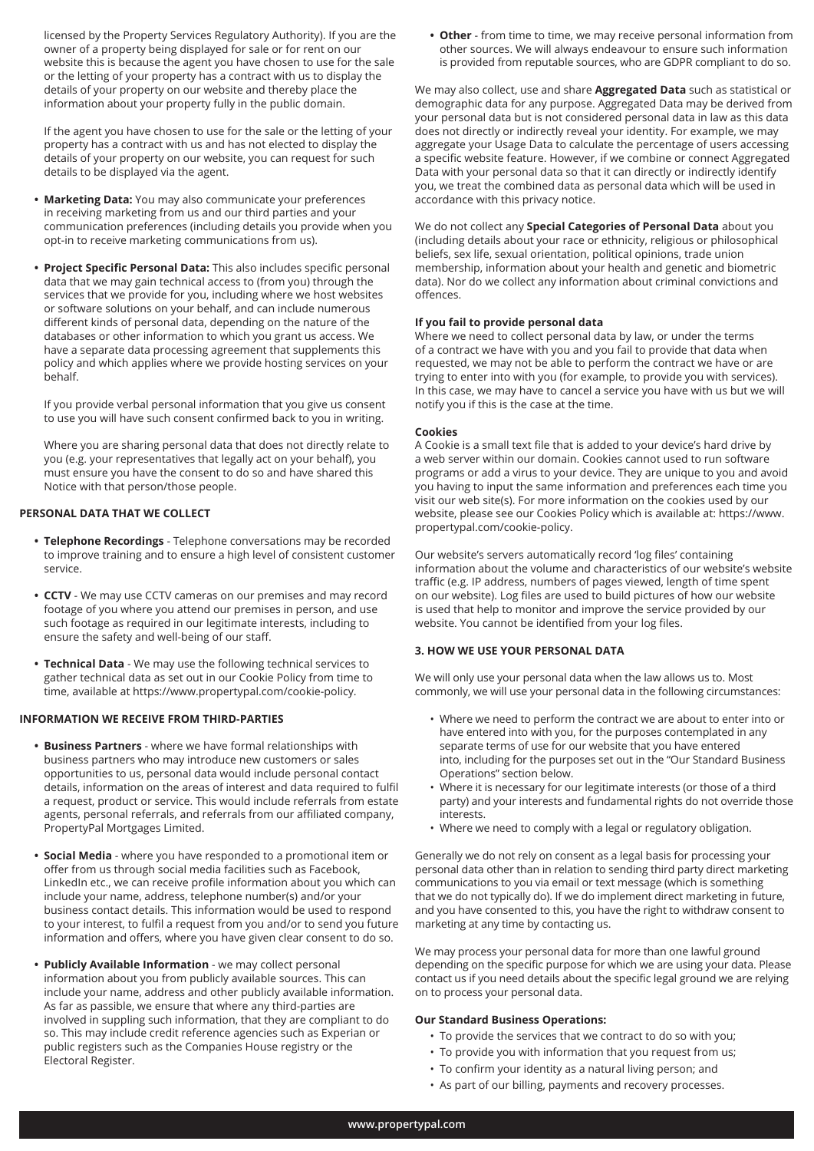licensed by the Property Services Regulatory Authority). If you are the owner of a property being displayed for sale or for rent on our website this is because the agent you have chosen to use for the sale or the letting of your property has a contract with us to display the details of your property on our website and thereby place the information about your property fully in the public domain.

If the agent you have chosen to use for the sale or the letting of your property has a contract with us and has not elected to display the details of your property on our website, you can request for such details to be displayed via the agent.

- **• Marketing Data:** You may also communicate your preferences in receiving marketing from us and our third parties and your communication preferences (including details you provide when you opt-in to receive marketing communications from us).
- **• Project Specific Personal Data:** This also includes specific personal data that we may gain technical access to (from you) through the services that we provide for you, including where we host websites or software solutions on your behalf, and can include numerous different kinds of personal data, depending on the nature of the databases or other information to which you grant us access. We have a separate data processing agreement that supplements this policy and which applies where we provide hosting services on your behalf.

If you provide verbal personal information that you give us consent to use you will have such consent confirmed back to you in writing.

Where you are sharing personal data that does not directly relate to you (e.g. your representatives that legally act on your behalf), you must ensure you have the consent to do so and have shared this Notice with that person/those people.

# **PERSONAL DATA THAT WE COLLECT**

- **• Telephone Recordings**  Telephone conversations may be recorded to improve training and to ensure a high level of consistent customer service.
- **• CCTV**  We may use CCTV cameras on our premises and may record footage of you where you attend our premises in person, and use such footage as required in our legitimate interests, including to ensure the safety and well-being of our staff.
- **• Technical Data** We may use the following technical services to gather technical data as set out in our Cookie Policy from time to time, available at https://www.propertypal.com/cookie-policy.

# **INFORMATION WE RECEIVE FROM THIRD-PARTIES**

- **• Business Partners** where we have formal relationships with business partners who may introduce new customers or sales opportunities to us, personal data would include personal contact details, information on the areas of interest and data required to fulfil a request, product or service. This would include referrals from estate agents, personal referrals, and referrals from our affiliated company, PropertyPal Mortgages Limited.
- **• Social Media**  where you have responded to a promotional item or offer from us through social media facilities such as Facebook, LinkedIn etc., we can receive profile information about you which can include your name, address, telephone number(s) and/or your business contact details. This information would be used to respond to your interest, to fulfil a request from you and/or to send you future information and offers, where you have given clear consent to do so.
- **• Publicly Available Information** we may collect personal information about you from publicly available sources. This can include your name, address and other publicly available information. As far as passible, we ensure that where any third-parties are involved in suppling such information, that they are compliant to do so. This may include credit reference agencies such as Experian or public registers such as the Companies House registry or the Electoral Register.

**• Other** - from time to time, we may receive personal information from other sources. We will always endeavour to ensure such information is provided from reputable sources, who are GDPR compliant to do so.

We may also collect, use and share **Aggregated Data** such as statistical or demographic data for any purpose. Aggregated Data may be derived from your personal data but is not considered personal data in law as this data does not directly or indirectly reveal your identity. For example, we may aggregate your Usage Data to calculate the percentage of users accessing a specific website feature. However, if we combine or connect Aggregated Data with your personal data so that it can directly or indirectly identify you, we treat the combined data as personal data which will be used in accordance with this privacy notice.

We do not collect any **Special Categories of Personal Data** about you (including details about your race or ethnicity, religious or philosophical beliefs, sex life, sexual orientation, political opinions, trade union membership, information about your health and genetic and biometric data). Nor do we collect any information about criminal convictions and offences.

# **If you fail to provide personal data**

Where we need to collect personal data by law, or under the terms of a contract we have with you and you fail to provide that data when requested, we may not be able to perform the contract we have or are trying to enter into with you (for example, to provide you with services). In this case, we may have to cancel a service you have with us but we will notify you if this is the case at the time.

#### **Cookies**

A Cookie is a small text file that is added to your device's hard drive by a web server within our domain. Cookies cannot used to run software programs or add a virus to your device. They are unique to you and avoid you having to input the same information and preferences each time you visit our web site(s). For more information on the cookies used by our website, please see our Cookies Policy which is available at: https://www. propertypal.com/cookie-policy.

Our website's servers automatically record 'log files' containing information about the volume and characteristics of our website's website traffic (e.g. IP address, numbers of pages viewed, length of time spent on our website). Log files are used to build pictures of how our website is used that help to monitor and improve the service provided by our website. You cannot be identified from your log files.

# **3. HOW WE USE YOUR PERSONAL DATA**

We will only use your personal data when the law allows us to. Most commonly, we will use your personal data in the following circumstances:

- Where we need to perform the contract we are about to enter into or have entered into with you, for the purposes contemplated in any separate terms of use for our website that you have entered into, including for the purposes set out in the "Our Standard Business Operations" section below.
- Where it is necessary for our legitimate interests (or those of a third party) and your interests and fundamental rights do not override those interests.
- Where we need to comply with a legal or regulatory obligation.

Generally we do not rely on consent as a legal basis for processing your personal data other than in relation to sending third party direct marketing communications to you via email or text message (which is something that we do not typically do). If we do implement direct marketing in future, and you have consented to this, you have the right to withdraw consent to marketing at any time by contacting us.

We may process your personal data for more than one lawful ground depending on the specific purpose for which we are using your data. Please contact us if you need details about the specific legal ground we are relying on to process your personal data.

# **Our Standard Business Operations:**

- To provide the services that we contract to do so with you;
- To provide you with information that you request from us;
- To confirm your identity as a natural living person; and
- As part of our billing, payments and recovery processes.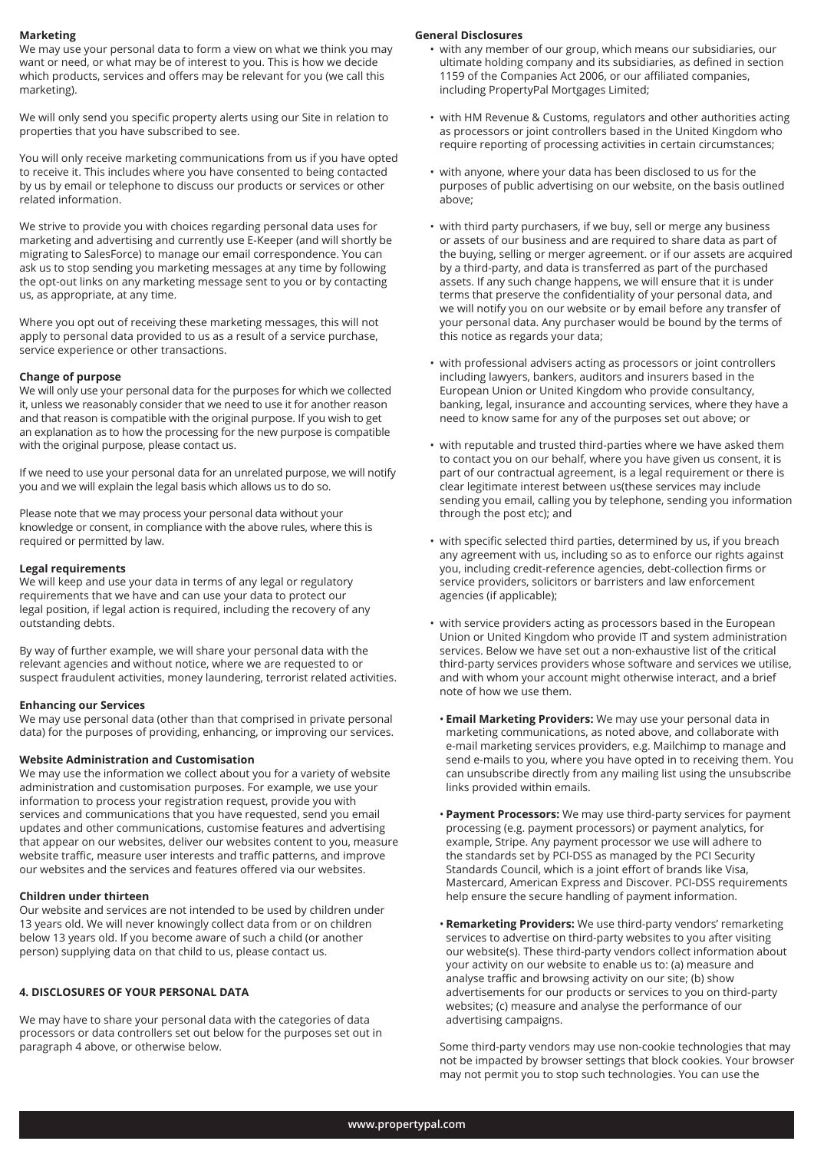#### **Marketing**

We may use your personal data to form a view on what we think you may want or need, or what may be of interest to you. This is how we decide which products, services and offers may be relevant for you (we call this marketing).

We will only send you specific property alerts using our Site in relation to properties that you have subscribed to see.

You will only receive marketing communications from us if you have opted to receive it. This includes where you have consented to being contacted by us by email or telephone to discuss our products or services or other related information.

We strive to provide you with choices regarding personal data uses for marketing and advertising and currently use E-Keeper (and will shortly be migrating to SalesForce) to manage our email correspondence. You can ask us to stop sending you marketing messages at any time by following the opt-out links on any marketing message sent to you or by contacting us, as appropriate, at any time.

Where you opt out of receiving these marketing messages, this will not apply to personal data provided to us as a result of a service purchase, service experience or other transactions.

# **Change of purpose**

We will only use your personal data for the purposes for which we collected it, unless we reasonably consider that we need to use it for another reason and that reason is compatible with the original purpose. If you wish to get an explanation as to how the processing for the new purpose is compatible with the original purpose, please contact us.

If we need to use your personal data for an unrelated purpose, we will notify you and we will explain the legal basis which allows us to do so.

Please note that we may process your personal data without your knowledge or consent, in compliance with the above rules, where this is required or permitted by law.

# **Legal requirements**

We will keep and use your data in terms of any legal or regulatory requirements that we have and can use your data to protect our legal position, if legal action is required, including the recovery of any outstanding debts.

By way of further example, we will share your personal data with the relevant agencies and without notice, where we are requested to or suspect fraudulent activities, money laundering, terrorist related activities.

# **Enhancing our Services**

We may use personal data (other than that comprised in private personal data) for the purposes of providing, enhancing, or improving our services.

# **Website Administration and Customisation**

We may use the information we collect about you for a variety of website administration and customisation purposes. For example, we use your information to process your registration request, provide you with services and communications that you have requested, send you email updates and other communications, customise features and advertising that appear on our websites, deliver our websites content to you, measure website traffic, measure user interests and traffic patterns, and improve our websites and the services and features offered via our websites.

# **Children under thirteen**

Our website and services are not intended to be used by children under 13 years old. We will never knowingly collect data from or on children below 13 years old. If you become aware of such a child (or another person) supplying data on that child to us, please contact us.

# **4. DISCLOSURES OF YOUR PERSONAL DATA**

We may have to share your personal data with the categories of data processors or data controllers set out below for the purposes set out in paragraph 4 above, or otherwise below.

# **General Disclosures**

- with any member of our group, which means our subsidiaries, our ultimate holding company and its subsidiaries, as defined in section 1159 of the Companies Act 2006, or our affiliated companies, including PropertyPal Mortgages Limited;
- with HM Revenue & Customs, regulators and other authorities acting as processors or joint controllers based in the United Kingdom who require reporting of processing activities in certain circumstances;
- with anyone, where your data has been disclosed to us for the purposes of public advertising on our website, on the basis outlined above;
- with third party purchasers, if we buy, sell or merge any business or assets of our business and are required to share data as part of the buying, selling or merger agreement. or if our assets are acquired by a third-party, and data is transferred as part of the purchased assets. If any such change happens, we will ensure that it is under terms that preserve the confidentiality of your personal data, and we will notify you on our website or by email before any transfer of your personal data. Any purchaser would be bound by the terms of this notice as regards your data;
- with professional advisers acting as processors or joint controllers including lawyers, bankers, auditors and insurers based in the European Union or United Kingdom who provide consultancy, banking, legal, insurance and accounting services, where they have a need to know same for any of the purposes set out above; or
- with reputable and trusted third-parties where we have asked them to contact you on our behalf, where you have given us consent, it is part of our contractual agreement, is a legal requirement or there is clear legitimate interest between us(these services may include sending you email, calling you by telephone, sending you information through the post etc); and
- with specific selected third parties, determined by us, if you breach any agreement with us, including so as to enforce our rights against you, including credit-reference agencies, debt-collection firms or service providers, solicitors or barristers and law enforcement agencies (if applicable);
- with service providers acting as processors based in the European Union or United Kingdom who provide IT and system administration services. Below we have set out a non-exhaustive list of the critical third-party services providers whose software and services we utilise, and with whom your account might otherwise interact, and a brief note of how we use them.
	- **Email Marketing Providers:** We may use your personal data in marketing communications, as noted above, and collaborate with e-mail marketing services providers, e.g. Mailchimp to manage and send e-mails to you, where you have opted in to receiving them. You can unsubscribe directly from any mailing list using the unsubscribe links provided within emails.
- **Payment Processors:** We may use third-party services for payment processing (e.g. payment processors) or payment analytics, for example, Stripe. Any payment processor we use will adhere to the standards set by PCI-DSS as managed by the PCI Security Standards Council, which is a joint effort of brands like Visa, Mastercard, American Express and Discover. PCI-DSS requirements help ensure the secure handling of payment information.
- **Remarketing Providers:** We use third-party vendors' remarketing services to advertise on third-party websites to you after visiting our website(s). These third-party vendors collect information about your activity on our website to enable us to: (a) measure and analyse traffic and browsing activity on our site; (b) show advertisements for our products or services to you on third-party websites; (c) measure and analyse the performance of our advertising campaigns.

Some third-party vendors may use non-cookie technologies that may not be impacted by browser settings that block cookies. Your browser may not permit you to stop such technologies. You can use the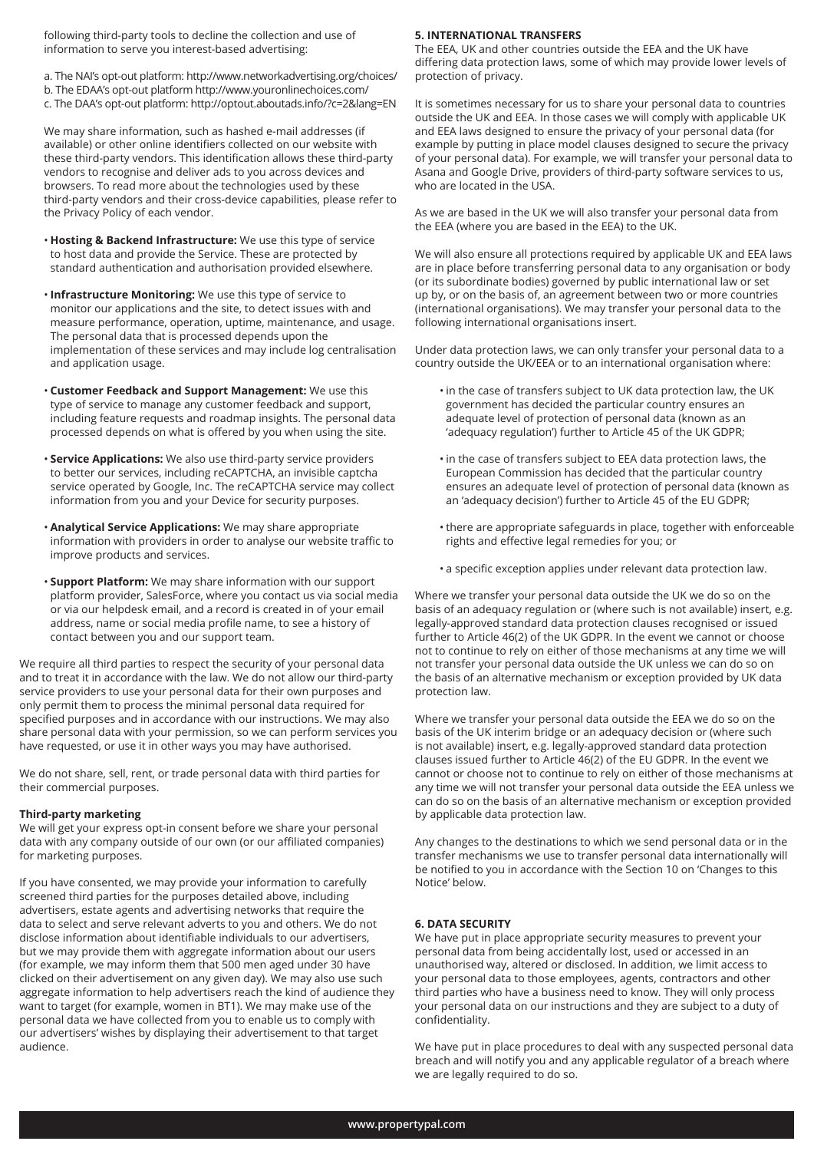following third-party tools to decline the collection and use of information to serve you interest-based advertising:

a. The NAI's opt-out platform: http://www.networkadvertising.org/choices/ b. The EDAA's opt-out platform http://www.youronlinechoices.com/ c. The DAA's opt-out platform: http://optout.aboutads.info/?c=2&lang=EN

We may share information, such as hashed e-mail addresses (if available) or other online identifiers collected on our website with these third-party vendors. This identification allows these third-party vendors to recognise and deliver ads to you across devices and browsers. To read more about the technologies used by these third-party vendors and their cross-device capabilities, please refer to the Privacy Policy of each vendor.

- **Hosting & Backend Infrastructure:** We use this type of service to host data and provide the Service. These are protected by standard authentication and authorisation provided elsewhere.
- **Infrastructure Monitoring:** We use this type of service to monitor our applications and the site, to detect issues with and measure performance, operation, uptime, maintenance, and usage. The personal data that is processed depends upon the implementation of these services and may include log centralisation and application usage.
- **Customer Feedback and Support Management:** We use this type of service to manage any customer feedback and support, including feature requests and roadmap insights. The personal data processed depends on what is offered by you when using the site.
- **Service Applications:** We also use third-party service providers to better our services, including reCAPTCHA, an invisible captcha service operated by Google, Inc. The reCAPTCHA service may collect information from you and your Device for security purposes.
- **Analytical Service Applications:** We may share appropriate information with providers in order to analyse our website traffic to improve products and services.
- **Support Platform:** We may share information with our support platform provider, SalesForce, where you contact us via social media or via our helpdesk email, and a record is created in of your email address, name or social media profile name, to see a history of contact between you and our support team.

We require all third parties to respect the security of your personal data and to treat it in accordance with the law. We do not allow our third-party service providers to use your personal data for their own purposes and only permit them to process the minimal personal data required for specified purposes and in accordance with our instructions. We may also share personal data with your permission, so we can perform services you have requested, or use it in other ways you may have authorised.

We do not share, sell, rent, or trade personal data with third parties for their commercial purposes.

# **Third-party marketing**

We will get your express opt-in consent before we share your personal data with any company outside of our own (or our affiliated companies) for marketing purposes.

If you have consented, we may provide your information to carefully screened third parties for the purposes detailed above, including advertisers, estate agents and advertising networks that require the data to select and serve relevant adverts to you and others. We do not disclose information about identifiable individuals to our advertisers, but we may provide them with aggregate information about our users (for example, we may inform them that 500 men aged under 30 have clicked on their advertisement on any given day). We may also use such aggregate information to help advertisers reach the kind of audience they want to target (for example, women in BT1). We may make use of the personal data we have collected from you to enable us to comply with our advertisers' wishes by displaying their advertisement to that target audience.

#### **5. INTERNATIONAL TRANSFERS**

The EEA, UK and other countries outside the EEA and the UK have differing data protection laws, some of which may provide lower levels of protection of privacy.

It is sometimes necessary for us to share your personal data to countries outside the UK and EEA. In those cases we will comply with applicable UK and EEA laws designed to ensure the privacy of your personal data (for example by putting in place model clauses designed to secure the privacy of your personal data). For example, we will transfer your personal data to Asana and Google Drive, providers of third-party software services to us, who are located in the USA.

As we are based in the UK we will also transfer your personal data from the EEA (where you are based in the EEA) to the UK.

We will also ensure all protections required by applicable UK and EEA laws are in place before transferring personal data to any organisation or body (or its subordinate bodies) governed by public international law or set up by, or on the basis of, an agreement between two or more countries (international organisations). We may transfer your personal data to the following international organisations insert.

Under data protection laws, we can only transfer your personal data to a country outside the UK/EEA or to an international organisation where:

- in the case of transfers subject to UK data protection law, the UK government has decided the particular country ensures an adequate level of protection of personal data (known as an 'adequacy regulation') further to Article 45 of the UK GDPR;
- in the case of transfers subject to EEA data protection laws, the European Commission has decided that the particular country ensures an adequate level of protection of personal data (known as an 'adequacy decision') further to Article 45 of the EU GDPR;
- there are appropriate safeguards in place, together with enforceable rights and effective legal remedies for you; or
- a specific exception applies under relevant data protection law.

Where we transfer your personal data outside the UK we do so on the basis of an adequacy regulation or (where such is not available) insert, e.g. legally-approved standard data protection clauses recognised or issued further to Article 46(2) of the UK GDPR. In the event we cannot or choose not to continue to rely on either of those mechanisms at any time we will not transfer your personal data outside the UK unless we can do so on the basis of an alternative mechanism or exception provided by UK data protection law.

Where we transfer your personal data outside the EEA we do so on the basis of the UK interim bridge or an adequacy decision or (where such is not available) insert, e.g. legally-approved standard data protection clauses issued further to Article 46(2) of the EU GDPR. In the event we cannot or choose not to continue to rely on either of those mechanisms at any time we will not transfer your personal data outside the EEA unless we can do so on the basis of an alternative mechanism or exception provided by applicable data protection law.

Any changes to the destinations to which we send personal data or in the transfer mechanisms we use to transfer personal data internationally will be notified to you in accordance with the Section 10 on 'Changes to this Notice' below.

# **6. DATA SECURITY**

We have put in place appropriate security measures to prevent your personal data from being accidentally lost, used or accessed in an unauthorised way, altered or disclosed. In addition, we limit access to your personal data to those employees, agents, contractors and other third parties who have a business need to know. They will only process your personal data on our instructions and they are subject to a duty of confidentiality.

We have put in place procedures to deal with any suspected personal data breach and will notify you and any applicable regulator of a breach where we are legally required to do so.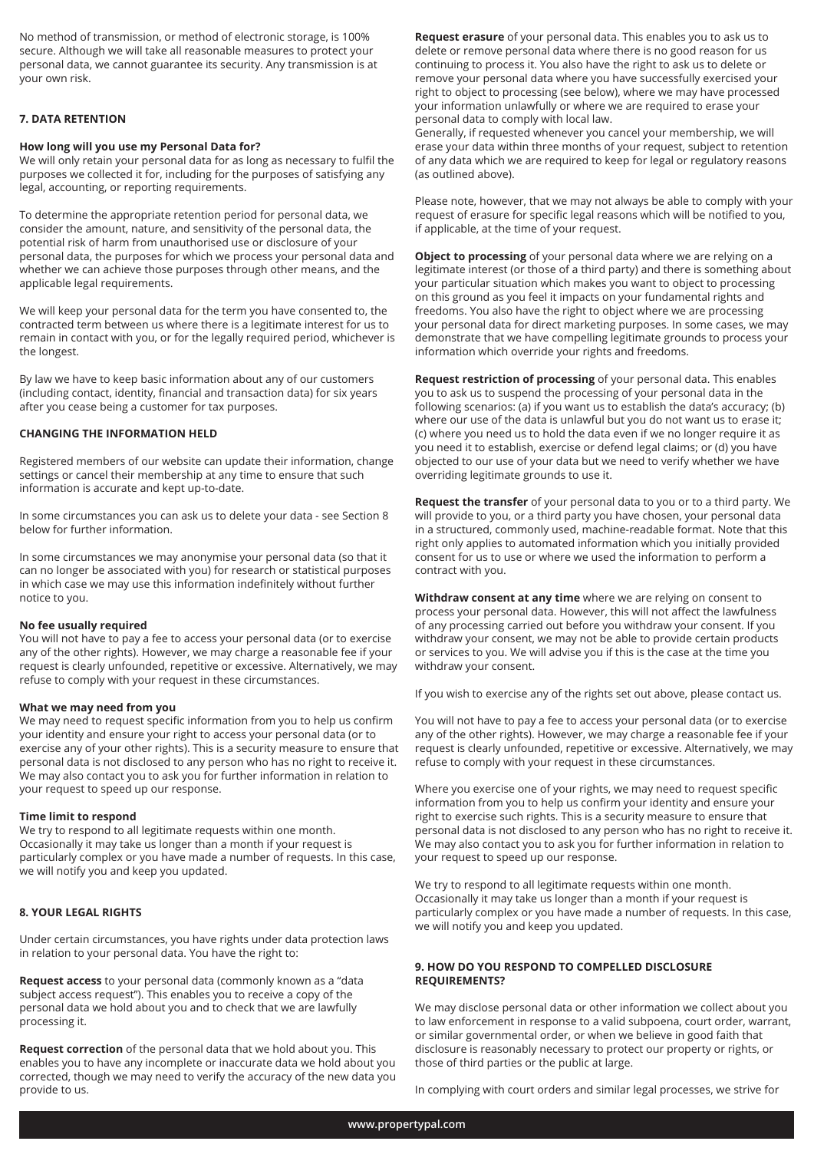No method of transmission, or method of electronic storage, is 100% secure. Although we will take all reasonable measures to protect your personal data, we cannot guarantee its security. Any transmission is at your own risk.

# **7. DATA RETENTION**

# **How long will you use my Personal Data for?**

We will only retain your personal data for as long as necessary to fulfil the purposes we collected it for, including for the purposes of satisfying any legal, accounting, or reporting requirements.

To determine the appropriate retention period for personal data, we consider the amount, nature, and sensitivity of the personal data, the potential risk of harm from unauthorised use or disclosure of your personal data, the purposes for which we process your personal data and whether we can achieve those purposes through other means, and the applicable legal requirements.

We will keep your personal data for the term you have consented to, the contracted term between us where there is a legitimate interest for us to remain in contact with you, or for the legally required period, whichever is the longest.

By law we have to keep basic information about any of our customers (including contact, identity, financial and transaction data) for six years after you cease being a customer for tax purposes.

# **CHANGING THE INFORMATION HELD**

Registered members of our website can update their information, change settings or cancel their membership at any time to ensure that such information is accurate and kept up-to-date.

In some circumstances you can ask us to delete your data - see Section 8 below for further information.

In some circumstances we may anonymise your personal data (so that it can no longer be associated with you) for research or statistical purposes in which case we may use this information indefinitely without further notice to you.

# **No fee usually required**

You will not have to pay a fee to access your personal data (or to exercise any of the other rights). However, we may charge a reasonable fee if your request is clearly unfounded, repetitive or excessive. Alternatively, we may refuse to comply with your request in these circumstances.

# **What we may need from you**

We may need to request specific information from you to help us confirm your identity and ensure your right to access your personal data (or to exercise any of your other rights). This is a security measure to ensure that personal data is not disclosed to any person who has no right to receive it. We may also contact you to ask you for further information in relation to your request to speed up our response.

# **Time limit to respond**

We try to respond to all legitimate requests within one month. Occasionally it may take us longer than a month if your request is particularly complex or you have made a number of requests. In this case, we will notify you and keep you updated.

# **8. YOUR LEGAL RIGHTS**

Under certain circumstances, you have rights under data protection laws in relation to your personal data. You have the right to:

**Request access** to your personal data (commonly known as a "data subject access request"). This enables you to receive a copy of the personal data we hold about you and to check that we are lawfully processing it.

**Request correction** of the personal data that we hold about you. This enables you to have any incomplete or inaccurate data we hold about you corrected, though we may need to verify the accuracy of the new data you provide to us.

**Request erasure** of your personal data. This enables you to ask us to delete or remove personal data where there is no good reason for us continuing to process it. You also have the right to ask us to delete or remove your personal data where you have successfully exercised your right to object to processing (see below), where we may have processed your information unlawfully or where we are required to erase your personal data to comply with local law.

Generally, if requested whenever you cancel your membership, we will erase your data within three months of your request, subject to retention of any data which we are required to keep for legal or regulatory reasons (as outlined above).

Please note, however, that we may not always be able to comply with your request of erasure for specific legal reasons which will be notified to you, if applicable, at the time of your request.

**Object to processing** of your personal data where we are relying on a legitimate interest (or those of a third party) and there is something about your particular situation which makes you want to object to processing on this ground as you feel it impacts on your fundamental rights and freedoms. You also have the right to object where we are processing your personal data for direct marketing purposes. In some cases, we may demonstrate that we have compelling legitimate grounds to process your information which override your rights and freedoms.

**Request restriction of processing** of your personal data. This enables you to ask us to suspend the processing of your personal data in the following scenarios: (a) if you want us to establish the data's accuracy; (b) where our use of the data is unlawful but you do not want us to erase it; (c) where you need us to hold the data even if we no longer require it as you need it to establish, exercise or defend legal claims; or (d) you have objected to our use of your data but we need to verify whether we have overriding legitimate grounds to use it.

**Request the transfer** of your personal data to you or to a third party. We will provide to you, or a third party you have chosen, your personal data in a structured, commonly used, machine-readable format. Note that this right only applies to automated information which you initially provided consent for us to use or where we used the information to perform a contract with you.

**Withdraw consent at any time** where we are relying on consent to process your personal data. However, this will not affect the lawfulness of any processing carried out before you withdraw your consent. If you withdraw your consent, we may not be able to provide certain products or services to you. We will advise you if this is the case at the time you withdraw your consent.

If you wish to exercise any of the rights set out above, please contact us.

You will not have to pay a fee to access your personal data (or to exercise any of the other rights). However, we may charge a reasonable fee if your request is clearly unfounded, repetitive or excessive. Alternatively, we may refuse to comply with your request in these circumstances.

Where you exercise one of your rights, we may need to request specific information from you to help us confirm your identity and ensure your right to exercise such rights. This is a security measure to ensure that personal data is not disclosed to any person who has no right to receive it. We may also contact you to ask you for further information in relation to your request to speed up our response.

We try to respond to all legitimate requests within one month. Occasionally it may take us longer than a month if your request is particularly complex or you have made a number of requests. In this case, we will notify you and keep you updated.

# **9. HOW DO YOU RESPOND TO COMPELLED DISCLOSURE REQUIREMENTS?**

We may disclose personal data or other information we collect about you to law enforcement in response to a valid subpoena, court order, warrant, or similar governmental order, or when we believe in good faith that disclosure is reasonably necessary to protect our property or rights, or those of third parties or the public at large.

In complying with court orders and similar legal processes, we strive for